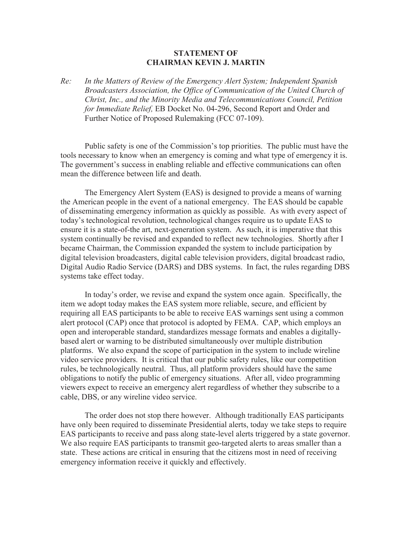## **STATEMENT OF CHAIRMAN KEVIN J. MARTIN**

*Re: In the Matters of Review of the Emergency Alert System; Independent Spanish Broadcasters Association, the Office of Communication of the United Church of Christ, Inc., and the Minority Media and Telecommunications Council, Petition for Immediate Relief,* EB Docket No. 04-296, Second Report and Order and Further Notice of Proposed Rulemaking (FCC 07-109).

Public safety is one of the Commission's top priorities. The public must have the tools necessary to know when an emergency is coming and what type of emergency it is. The government's success in enabling reliable and effective communications can often mean the difference between life and death.

The Emergency Alert System (EAS) is designed to provide a means of warning the American people in the event of a national emergency. The EAS should be capable of disseminating emergency information as quickly as possible. As with every aspect of today's technological revolution, technological changes require us to update EAS to ensure it is a state-of-the art, next-generation system. As such, it is imperative that this system continually be revised and expanded to reflect new technologies. Shortly after I became Chairman, the Commission expanded the system to include participation by digital television broadcasters, digital cable television providers, digital broadcast radio, Digital Audio Radio Service (DARS) and DBS systems. In fact, the rules regarding DBS systems take effect today.

In today's order, we revise and expand the system once again. Specifically, the item we adopt today makes the EAS system more reliable, secure, and efficient by requiring all EAS participants to be able to receive EAS warnings sent using a common alert protocol (CAP) once that protocol is adopted by FEMA. CAP, which employs an open and interoperable standard, standardizes message formats and enables a digitallybased alert or warning to be distributed simultaneously over multiple distribution platforms. We also expand the scope of participation in the system to include wireline video service providers. It is critical that our public safety rules, like our competition rules, be technologically neutral. Thus, all platform providers should have the same obligations to notify the public of emergency situations. After all, video programming viewers expect to receive an emergency alert regardless of whether they subscribe to a cable, DBS, or any wireline video service.

The order does not stop there however. Although traditionally EAS participants have only been required to disseminate Presidential alerts, today we take steps to require EAS participants to receive and pass along state-level alerts triggered by a state governor. We also require EAS participants to transmit geo-targeted alerts to areas smaller than a state. These actions are critical in ensuring that the citizens most in need of receiving emergency information receive it quickly and effectively.